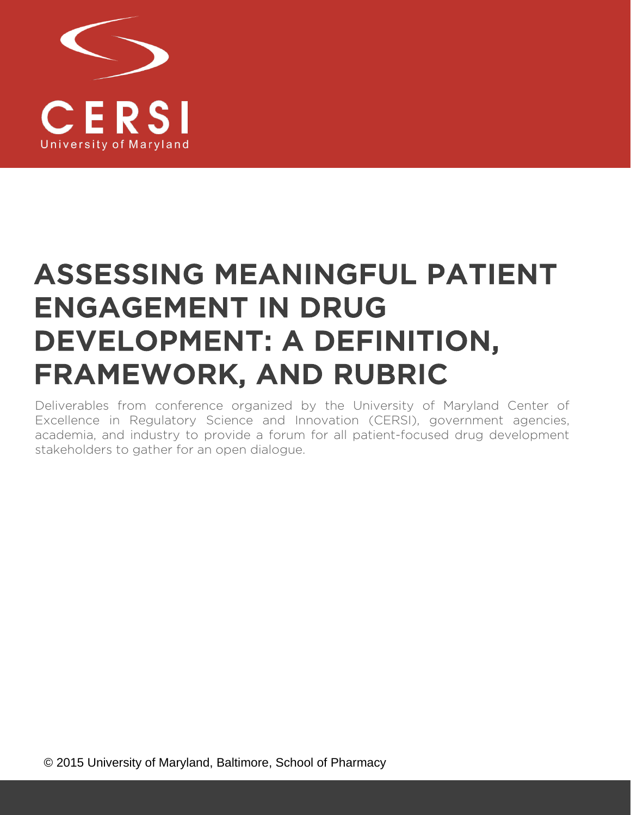

# ASSESSING MEANINGFUL PATIENT ENGAGEMENT IN DRUG DEVELOPMENT: A DEFINITION, FRAMEWORK, AND RUBRIC

Deliverables from conference organized by the University of Maryland Center of Excellence in Regulatory Science and Innovation (CERSI), government agencies, academia, and industry to provide a forum for all patient-focused drug development stakeholders to gather for an open dialogue.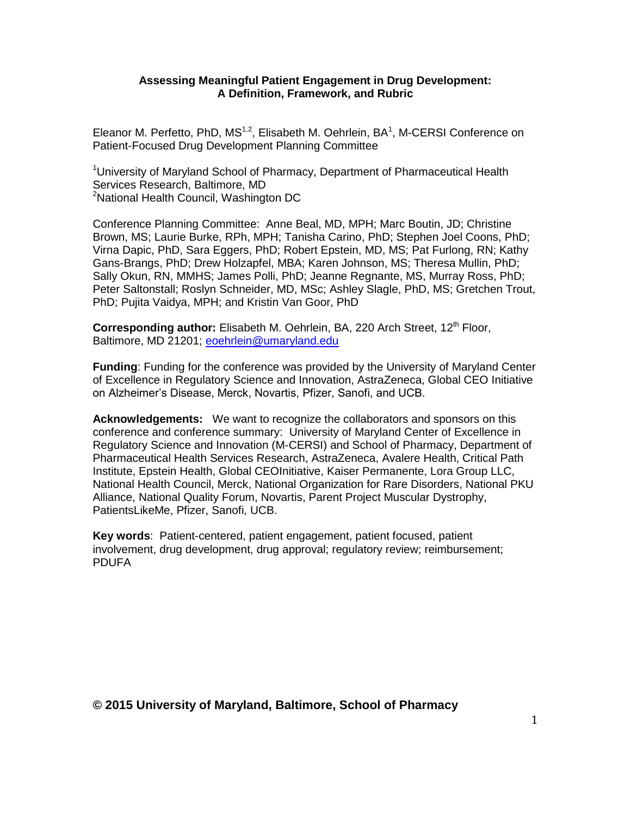#### **Assessing Meaningful Patient Engagement in Drug Development: A Definition, Framework, and Rubric**

Eleanor M. Perfetto, PhD, MS<sup>1,2</sup>, Elisabeth M. Oehrlein, BA<sup>1</sup>, M-CERSI Conference on Patient-Focused Drug Development Planning Committee

<sup>1</sup>University of Maryland School of Pharmacy, Department of Pharmaceutical Health Services Research, Baltimore, MD <sup>2</sup>National Health Council, Washington DC

Conference Planning Committee: Anne Beal, MD, MPH; Marc Boutin, JD; Christine Brown, MS; Laurie Burke, RPh, MPH; Tanisha Carino, PhD; Stephen Joel Coons, PhD; Virna Dapic, PhD, Sara Eggers, PhD; Robert Epstein, MD, MS; Pat Furlong, RN; Kathy Gans-Brangs, PhD; Drew Holzapfel, MBA; Karen Johnson, MS; Theresa Mullin, PhD; Sally Okun, RN, MMHS; James Polli, PhD; Jeanne Regnante, MS, Murray Ross, PhD; Peter Saltonstall; Roslyn Schneider, MD, MSc; Ashley Slagle, PhD, MS; Gretchen Trout, PhD; Pujita Vaidya, MPH; and Kristin Van Goor, PhD

**Corresponding author:** Elisabeth M. Oehrlein, BA, 220 Arch Street, 12<sup>th</sup> Floor, Baltimore, MD 21201; [eoehrlein@umaryland.edu](mailto:eoehrlein@umaryland.edu)

**Funding**: Funding for the conference was provided by the University of Maryland Center of Excellence in Regulatory Science and Innovation, AstraZeneca, Global CEO Initiative on Alzheimer's Disease, Merck, Novartis, Pfizer, Sanofi, and UCB.

**Acknowledgements:** We want to recognize the collaborators and sponsors on this conference and conference summary: University of Maryland Center of Excellence in Regulatory Science and Innovation (M-CERSI) and School of Pharmacy, Department of Pharmaceutical Health Services Research, AstraZeneca, Avalere Health, Critical Path Institute, Epstein Health, Global CEOInitiative, Kaiser Permanente, Lora Group LLC, National Health Council, Merck, National Organization for Rare Disorders, National PKU Alliance, National Quality Forum, Novartis, Parent Project Muscular Dystrophy, PatientsLikeMe, Pfizer, Sanofi, UCB.

**Key words**: Patient-centered, patient engagement, patient focused, patient involvement, drug development, drug approval; regulatory review; reimbursement; PDUFA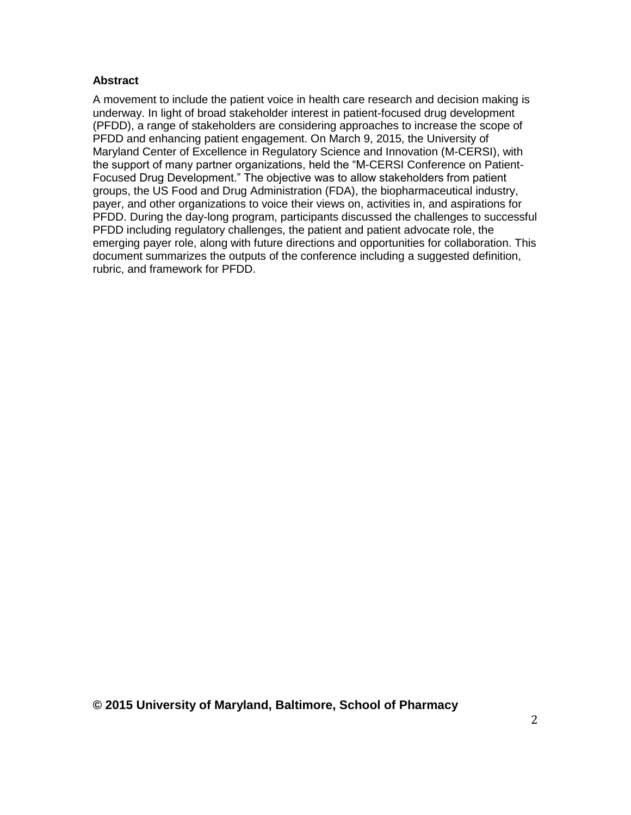#### **Abstract**

A movement to include the patient voice in health care research and decision making is underway. In light of broad stakeholder interest in patient-focused drug development (PFDD), a range of stakeholders are considering approaches to increase the scope of PFDD and enhancing patient engagement. On March 9, 2015, the University of Maryland Center of Excellence in Regulatory Science and Innovation (M-CERSI), with the support of many partner organizations, held the "M-CERSI Conference on Patient-Focused Drug Development." The objective was to allow stakeholders from patient groups, the US Food and Drug Administration (FDA), the biopharmaceutical industry, payer, and other organizations to voice their views on, activities in, and aspirations for PFDD. During the day-long program, participants discussed the challenges to successful PFDD including regulatory challenges, the patient and patient advocate role, the emerging payer role, along with future directions and opportunities for collaboration. This document summarizes the outputs of the conference including a suggested definition, rubric, and framework for PFDD.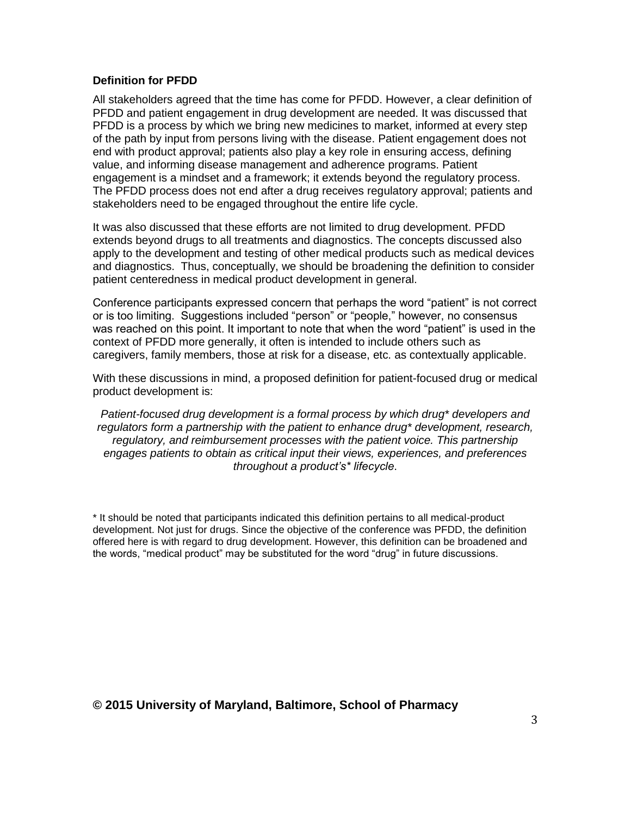#### **Definition for PFDD**

All stakeholders agreed that the time has come for PFDD. However, a clear definition of PFDD and patient engagement in drug development are needed. It was discussed that PFDD is a process by which we bring new medicines to market, informed at every step of the path by input from persons living with the disease. Patient engagement does not end with product approval; patients also play a key role in ensuring access, defining value, and informing disease management and adherence programs. Patient engagement is a mindset and a framework; it extends beyond the regulatory process. The PFDD process does not end after a drug receives regulatory approval; patients and stakeholders need to be engaged throughout the entire life cycle.

It was also discussed that these efforts are not limited to drug development. PFDD extends beyond drugs to all treatments and diagnostics. The concepts discussed also apply to the development and testing of other medical products such as medical devices and diagnostics. Thus, conceptually, we should be broadening the definition to consider patient centeredness in medical product development in general.

Conference participants expressed concern that perhaps the word "patient" is not correct or is too limiting. Suggestions included "person" or "people," however, no consensus was reached on this point. It important to note that when the word "patient" is used in the context of PFDD more generally, it often is intended to include others such as caregivers, family members, those at risk for a disease, etc. as contextually applicable.

With these discussions in mind, a proposed definition for patient-focused drug or medical product development is:

*Patient-focused drug development is a formal process by which drug\* developers and regulators form a partnership with the patient to enhance drug\* development, research, regulatory, and reimbursement processes with the patient voice. This partnership engages patients to obtain as critical input their views, experiences, and preferences throughout a product's\* lifecycle*.

\* It should be noted that participants indicated this definition pertains to all medical-product development. Not just for drugs. Since the objective of the conference was PFDD, the definition offered here is with regard to drug development. However, this definition can be broadened and the words, "medical product" may be substituted for the word "drug" in future discussions.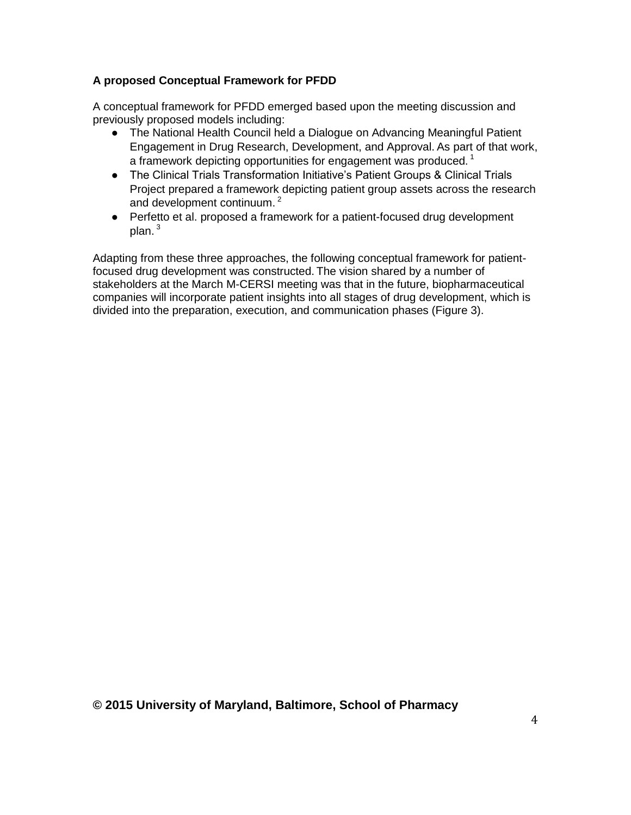# **A proposed Conceptual Framework for PFDD**

A conceptual framework for PFDD emerged based upon the meeting discussion and previously proposed models including:

- The National Health Council held a Dialogue on Advancing Meaningful Patient Engagement in Drug Research, Development, and Approval. As part of that work, a framework depicting opportunities for engagement was produced.  $^1$
- The Clinical Trials Transformation Initiative's Patient Groups & Clinical Trials Project prepared a framework depicting patient group assets across the research and development continuum.<sup>2</sup>
- Perfetto et al. proposed a framework for a patient-focused drug development plan.<sup>3</sup>

Adapting from these three approaches, the following conceptual framework for patientfocused drug development was constructed. The vision shared by a number of stakeholders at the March M-CERSI meeting was that in the future, biopharmaceutical companies will incorporate patient insights into all stages of drug development, which is divided into the preparation, execution, and communication phases (Figure 3).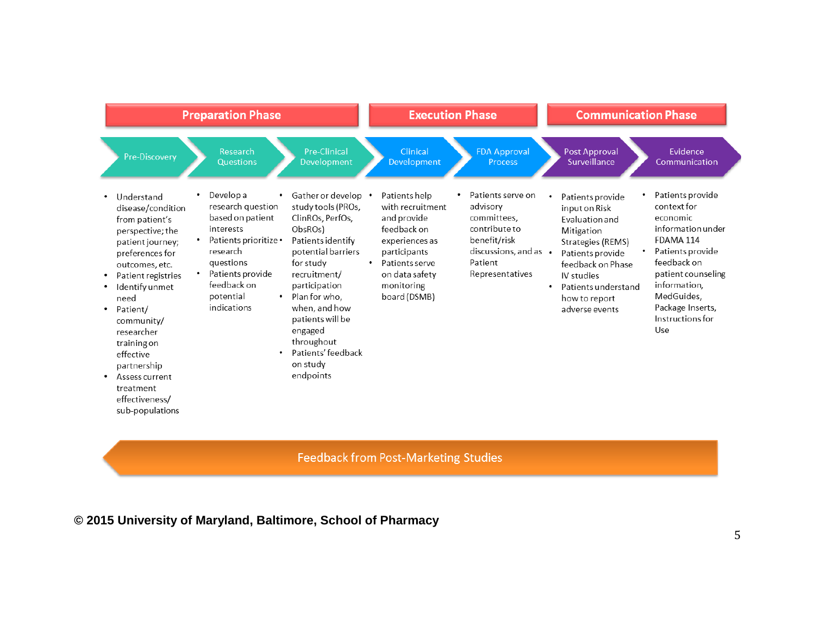| <b>Preparation Phase</b>                                                                                                                                                                                                                                                                                                                                                                                                                                                                                                            |                                                                                                                                                                                                                                                                                                 | <b>Execution Phase</b>                                                                                                                                              |                                                                                                                                            | <b>Communication Phase</b>                                                                                                                                                                                                       |                                                                                                                                                                                                                     |
|-------------------------------------------------------------------------------------------------------------------------------------------------------------------------------------------------------------------------------------------------------------------------------------------------------------------------------------------------------------------------------------------------------------------------------------------------------------------------------------------------------------------------------------|-------------------------------------------------------------------------------------------------------------------------------------------------------------------------------------------------------------------------------------------------------------------------------------------------|---------------------------------------------------------------------------------------------------------------------------------------------------------------------|--------------------------------------------------------------------------------------------------------------------------------------------|----------------------------------------------------------------------------------------------------------------------------------------------------------------------------------------------------------------------------------|---------------------------------------------------------------------------------------------------------------------------------------------------------------------------------------------------------------------|
| Research<br>Pre-Discovery<br>Questions                                                                                                                                                                                                                                                                                                                                                                                                                                                                                              | <b>Pre-Clinical</b><br>Development                                                                                                                                                                                                                                                              | Clinical<br>Development                                                                                                                                             | <b>FDA Approval</b><br><b>Process</b>                                                                                                      | Post Approval<br>Surveillance                                                                                                                                                                                                    | Evidence<br>Communication                                                                                                                                                                                           |
| Develop a<br>٠<br>Understand<br>research question<br>disease/condition<br>based on patient<br>from patient's<br>interests<br>perspective; the<br>Patients prioritize .<br>patient journey;<br>research<br>preferences for<br>questions<br>outcomes, etc.<br>Patients provide<br>Patient registries<br>feedback on<br>Identify unmet<br>potential<br>٠<br>need<br>indications<br>Patient/<br>community/<br>researcher<br>training on<br>effective<br>partnership<br>Assess current<br>treatment<br>effectiveness/<br>sub-populations | Gather or develop .<br>study tools (PROs,<br>ClinROs, PerfOs,<br>ObsROs)<br>Patients identify<br>potential barriers<br>for study<br>recruitment/<br>participation<br>Plan for who.<br>when, and how<br>patients will be<br>engaged<br>throughout<br>Patients' feedback<br>on study<br>endpoints | Patients help<br>with recruitment<br>and provide<br>feedback on<br>experiences as<br>participants<br>Patients serve<br>on data safety<br>monitoring<br>board (DSMB) | Patients serve on<br>advisory<br>committees.<br>contribute to<br>benefit/risk<br>discussions, and as $\cdot$<br>Patient<br>Representatives | ٠<br>Patients provide<br>input on Risk<br><b>Fyaluation and</b><br>Mitigation<br>Strategies (REMS)<br>Patients provide<br>feedback on Phase<br>IV studies<br>Patients understand<br>$\bullet$<br>how to report<br>adverse events | Patients provide<br>context for<br>economic<br>information under<br>FDAMA 114<br>Patients provide<br>feedback on<br>patient counseling<br>information,<br>MedGuides,<br>Package Inserts,<br>Instructions for<br>Use |

# Feedback from Post-Marketing Studies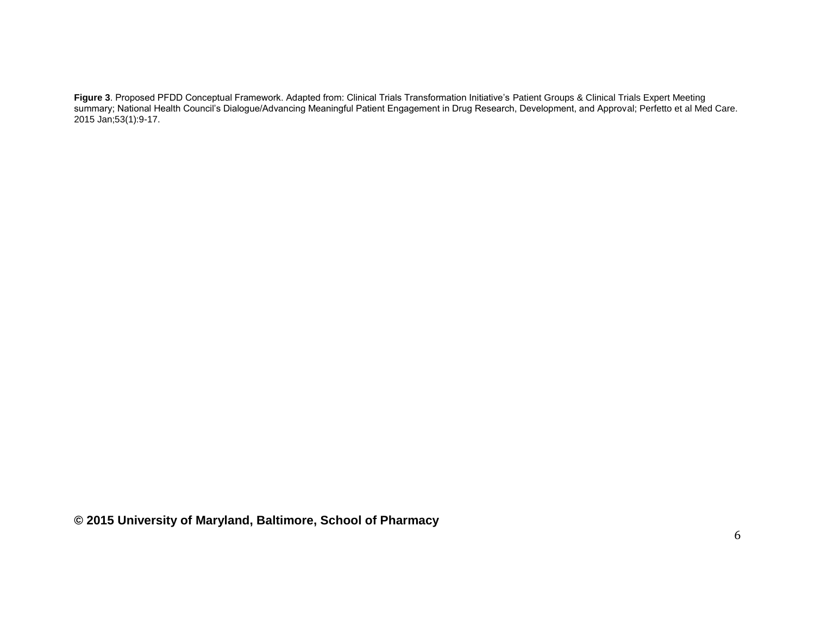**Figure 3**. Proposed PFDD Conceptual Framework. Adapted from: Clinical Trials Transformation Initiative's Patient Groups & Clinical Trials Expert Meeting summary; National Health Council's Dialogue/Advancing Meaningful Patient Engagement in Drug Research, Development, and Approval; Perfetto et al Med Care. 2015 Jan;53(1):9-17.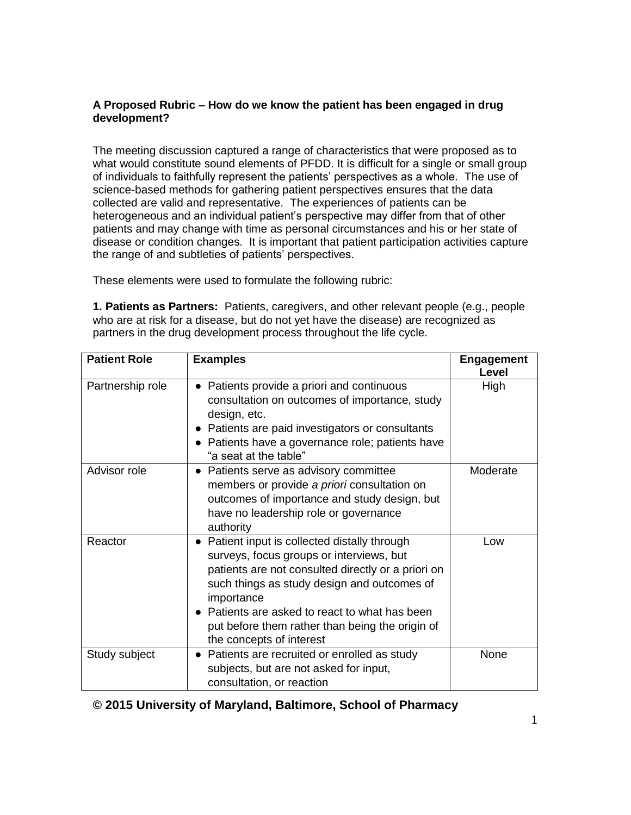#### **A Proposed Rubric – How do we know the patient has been engaged in drug development?**

The meeting discussion captured a range of characteristics that were proposed as to what would constitute sound elements of PFDD. It is difficult for a single or small group of individuals to faithfully represent the patients' perspectives as a whole. The use of science-based methods for gathering patient perspectives ensures that the data collected are valid and representative. The experiences of patients can be heterogeneous and an individual patient's perspective may differ from that of other patients and may change with time as personal circumstances and his or her state of disease or condition changes. It is important that patient participation activities capture the range of and subtleties of patients' perspectives.

These elements were used to formulate the following rubric:

**1. Patients as Partners:** Patients, caregivers, and other relevant people (e.g., people who are at risk for a disease, but do not yet have the disease) are recognized as partners in the drug development process throughout the life cycle.

| <b>Patient Role</b> | <b>Examples</b>                                                                                                                                                                                                                                                                                                                             | <b>Engagement</b><br>Level |
|---------------------|---------------------------------------------------------------------------------------------------------------------------------------------------------------------------------------------------------------------------------------------------------------------------------------------------------------------------------------------|----------------------------|
| Partnership role    | Patients provide a priori and continuous<br>consultation on outcomes of importance, study<br>design, etc.<br>• Patients are paid investigators or consultants<br>• Patients have a governance role; patients have<br>"a seat at the table"                                                                                                  | High                       |
| Advisor role        | • Patients serve as advisory committee<br>members or provide a priori consultation on<br>outcomes of importance and study design, but<br>have no leadership role or governance<br>authority                                                                                                                                                 | Moderate                   |
| Reactor             | • Patient input is collected distally through<br>surveys, focus groups or interviews, but<br>patients are not consulted directly or a priori on<br>such things as study design and outcomes of<br>importance<br>Patients are asked to react to what has been<br>put before them rather than being the origin of<br>the concepts of interest | Low                        |
| Study subject       | Patients are recruited or enrolled as study<br>subjects, but are not asked for input,<br>consultation, or reaction                                                                                                                                                                                                                          | None                       |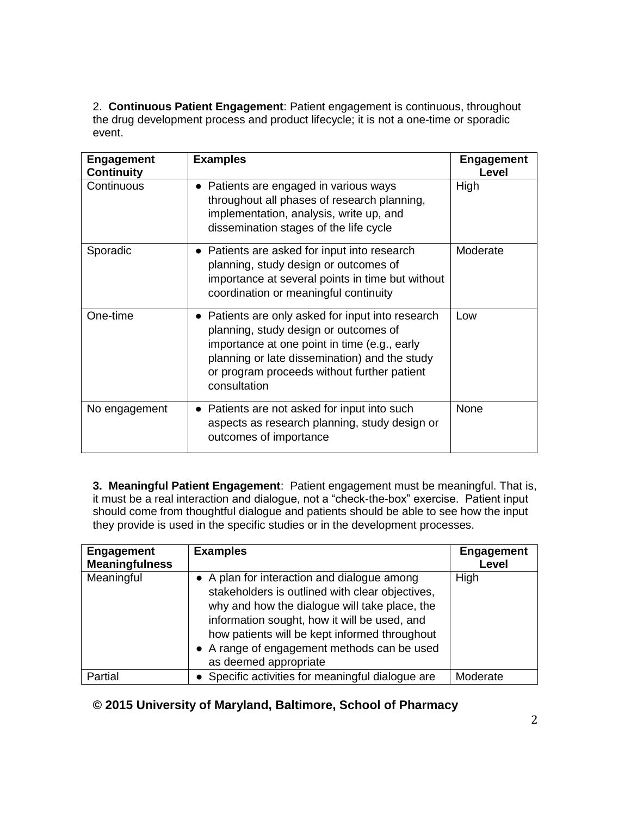2. **Continuous Patient Engagement**: Patient engagement is continuous, throughout the drug development process and product lifecycle; it is not a one-time or sporadic event.

| <b>Engagement</b><br><b>Continuity</b> | <b>Examples</b>                                                                                                                                                                                                                                          | <b>Engagement</b><br>Level |
|----------------------------------------|----------------------------------------------------------------------------------------------------------------------------------------------------------------------------------------------------------------------------------------------------------|----------------------------|
| Continuous                             | • Patients are engaged in various ways<br>throughout all phases of research planning,<br>implementation, analysis, write up, and<br>dissemination stages of the life cycle                                                                               | High                       |
| Sporadic                               | • Patients are asked for input into research<br>planning, study design or outcomes of<br>importance at several points in time but without<br>coordination or meaningful continuity                                                                       | Moderate                   |
| One-time                               | Patients are only asked for input into research<br>planning, study design or outcomes of<br>importance at one point in time (e.g., early<br>planning or late dissemination) and the study<br>or program proceeds without further patient<br>consultation | Low                        |
| No engagement                          | Patients are not asked for input into such<br>$\bullet$<br>aspects as research planning, study design or<br>outcomes of importance                                                                                                                       | None                       |

**3. Meaningful Patient Engagement**: Patient engagement must be meaningful. That is, it must be a real interaction and dialogue, not a "check-the-box" exercise. Patient input should come from thoughtful dialogue and patients should be able to see how the input they provide is used in the specific studies or in the development processes.

| <b>Engagement</b><br><b>Meaningfulness</b> | <b>Examples</b>                                                                                                                                                                                                                                                                                                          | <b>Engagement</b><br>Level |
|--------------------------------------------|--------------------------------------------------------------------------------------------------------------------------------------------------------------------------------------------------------------------------------------------------------------------------------------------------------------------------|----------------------------|
| Meaningful                                 | • A plan for interaction and dialogue among<br>stakeholders is outlined with clear objectives,<br>why and how the dialogue will take place, the<br>information sought, how it will be used, and<br>how patients will be kept informed throughout<br>• A range of engagement methods can be used<br>as deemed appropriate | High                       |
| Partial                                    | • Specific activities for meaningful dialogue are                                                                                                                                                                                                                                                                        | Moderate                   |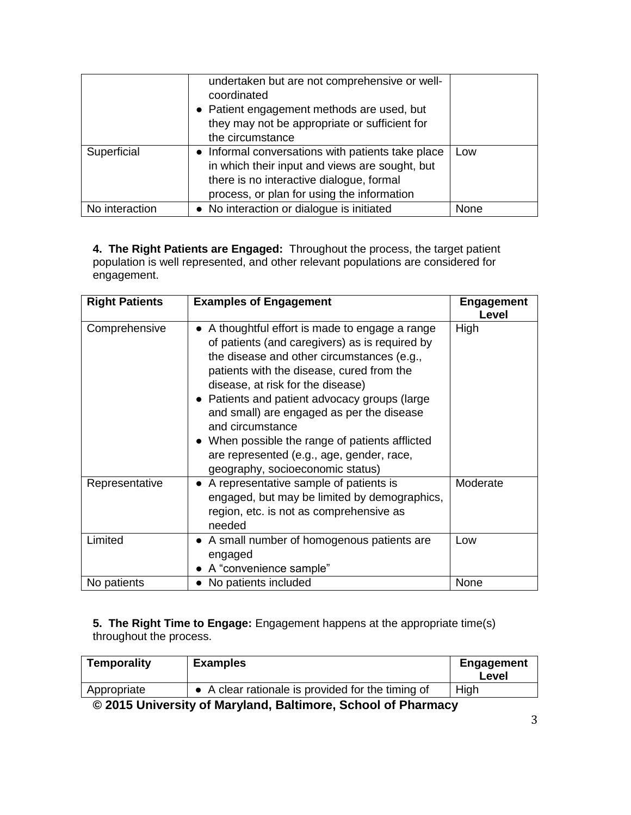|                | undertaken but are not comprehensive or well-<br>coordinated<br>• Patient engagement methods are used, but<br>they may not be appropriate or sufficient for<br>the circumstance               |      |
|----------------|-----------------------------------------------------------------------------------------------------------------------------------------------------------------------------------------------|------|
| Superficial    | • Informal conversations with patients take place<br>in which their input and views are sought, but<br>there is no interactive dialogue, formal<br>process, or plan for using the information | Low  |
| No interaction | • No interaction or dialogue is initiated                                                                                                                                                     | None |

**4. The Right Patients are Engaged:** Throughout the process, the target patient population is well represented, and other relevant populations are considered for engagement.

| <b>Right Patients</b> | <b>Examples of Engagement</b>                                                                                                                                                                                                                                                                                                                                                                                                                                                         | <b>Engagement</b><br>Level |
|-----------------------|---------------------------------------------------------------------------------------------------------------------------------------------------------------------------------------------------------------------------------------------------------------------------------------------------------------------------------------------------------------------------------------------------------------------------------------------------------------------------------------|----------------------------|
| Comprehensive         | A thoughtful effort is made to engage a range<br>of patients (and caregivers) as is required by<br>the disease and other circumstances (e.g.,<br>patients with the disease, cured from the<br>disease, at risk for the disease)<br>• Patients and patient advocacy groups (large<br>and small) are engaged as per the disease<br>and circumstance<br>• When possible the range of patients afflicted<br>are represented (e.g., age, gender, race,<br>geography, socioeconomic status) | High                       |
| Representative        | • A representative sample of patients is<br>engaged, but may be limited by demographics,<br>region, etc. is not as comprehensive as<br>needed                                                                                                                                                                                                                                                                                                                                         | Moderate                   |
| Limited               | • A small number of homogenous patients are<br>engaged<br>• A "convenience sample"                                                                                                                                                                                                                                                                                                                                                                                                    | Low                        |
| No patients           | • No patients included                                                                                                                                                                                                                                                                                                                                                                                                                                                                | None                       |

**5. The Right Time to Engage:** Engagement happens at the appropriate time(s) throughout the process.

| Temporality                                                 | <b>Examples</b>                                   | <b>Engagement</b><br>Level |
|-------------------------------------------------------------|---------------------------------------------------|----------------------------|
| Appropriate                                                 | • A clear rationale is provided for the timing of | High                       |
| @ 004E University of Mondayd Deltimers, Calcool of Dhomesey |                                                   |                            |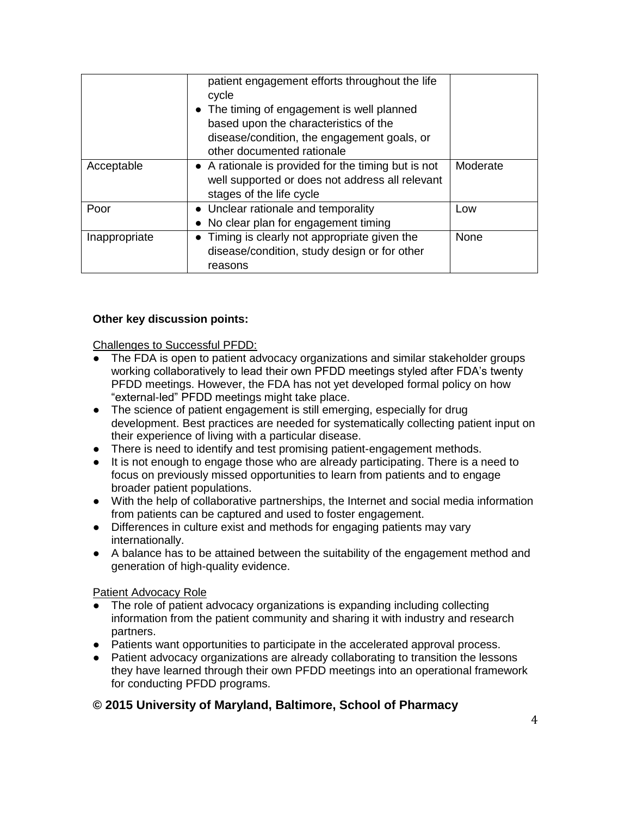|               | patient engagement efforts throughout the life<br>cycle<br>• The timing of engagement is well planned<br>based upon the characteristics of the<br>disease/condition, the engagement goals, or<br>other documented rationale |          |
|---------------|-----------------------------------------------------------------------------------------------------------------------------------------------------------------------------------------------------------------------------|----------|
| Acceptable    | • A rationale is provided for the timing but is not<br>well supported or does not address all relevant<br>stages of the life cycle                                                                                          | Moderate |
| Poor          | • Unclear rationale and temporality<br>• No clear plan for engagement timing                                                                                                                                                | Low      |
| Inappropriate | • Timing is clearly not appropriate given the<br>disease/condition, study design or for other<br>reasons                                                                                                                    | None     |

# **Other key discussion points:**

Challenges to Successful PFDD:

- The FDA is open to patient advocacy organizations and similar stakeholder groups working collaboratively to lead their own PFDD meetings styled after FDA's twenty PFDD meetings. However, the FDA has not yet developed formal policy on how "external-led" PFDD meetings might take place.
- The science of patient engagement is still emerging, especially for drug development. Best practices are needed for systematically collecting patient input on their experience of living with a particular disease.
- There is need to identify and test promising patient-engagement methods.
- It is not enough to engage those who are already participating. There is a need to focus on previously missed opportunities to learn from patients and to engage broader patient populations.
- With the help of collaborative partnerships, the Internet and social media information from patients can be captured and used to foster engagement.
- Differences in culture exist and methods for engaging patients may vary internationally.
- A balance has to be attained between the suitability of the engagement method and generation of high-quality evidence.

Patient Advocacy Role

- The role of patient advocacy organizations is expanding including collecting information from the patient community and sharing it with industry and research partners.
- Patients want opportunities to participate in the accelerated approval process.
- Patient advocacy organizations are already collaborating to transition the lessons they have learned through their own PFDD meetings into an operational framework for conducting PFDD programs.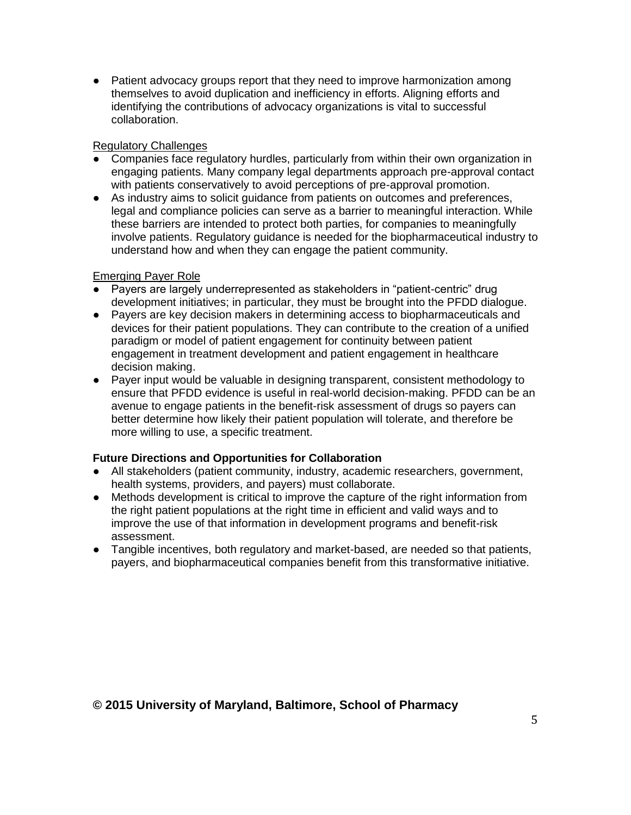• Patient advocacy groups report that they need to improve harmonization among themselves to avoid duplication and inefficiency in efforts. Aligning efforts and identifying the contributions of advocacy organizations is vital to successful collaboration.

#### Regulatory Challenges

- Companies face regulatory hurdles, particularly from within their own organization in engaging patients. Many company legal departments approach pre-approval contact with patients conservatively to avoid perceptions of pre-approval promotion.
- As industry aims to solicit guidance from patients on outcomes and preferences, legal and compliance policies can serve as a barrier to meaningful interaction. While these barriers are intended to protect both parties, for companies to meaningfully involve patients. Regulatory guidance is needed for the biopharmaceutical industry to understand how and when they can engage the patient community.

#### Emerging Payer Role

- Payers are largely underrepresented as stakeholders in "patient-centric" drug development initiatives; in particular, they must be brought into the PFDD dialogue.
- Payers are key decision makers in determining access to biopharmaceuticals and devices for their patient populations. They can contribute to the creation of a unified paradigm or model of patient engagement for continuity between patient engagement in treatment development and patient engagement in healthcare decision making.
- Payer input would be valuable in designing transparent, consistent methodology to ensure that PFDD evidence is useful in real-world decision-making. PFDD can be an avenue to engage patients in the benefit-risk assessment of drugs so payers can better determine how likely their patient population will tolerate, and therefore be more willing to use, a specific treatment.

# **Future Directions and Opportunities for Collaboration**

- All stakeholders (patient community, industry, academic researchers, government, health systems, providers, and payers) must collaborate.
- Methods development is critical to improve the capture of the right information from the right patient populations at the right time in efficient and valid ways and to improve the use of that information in development programs and benefit-risk assessment.
- Tangible incentives, both regulatory and market-based, are needed so that patients, payers, and biopharmaceutical companies benefit from this transformative initiative.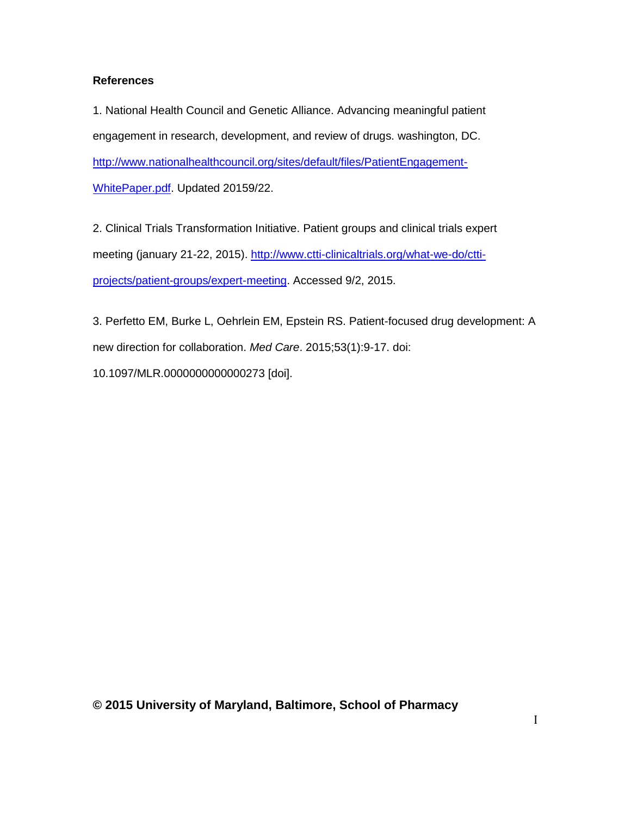#### **References**

1. National Health Council and Genetic Alliance. Advancing meaningful patient engagement in research, development, and review of drugs. washington, DC. [http://www.nationalhealthcouncil.org/sites/default/files/PatientEngagement-](http://www.nationalhealthcouncil.org/sites/default/files/PatientEngagement-WhitePaper.pdf)[WhitePaper.pdf.](http://www.nationalhealthcouncil.org/sites/default/files/PatientEngagement-WhitePaper.pdf) Updated 20159/22.

2. Clinical Trials Transformation Initiative. Patient groups and clinical trials expert meeting (january 21-22, 2015). [http://www.ctti-clinicaltrials.org/what-we-do/ctti](http://www.ctti-clinicaltrials.org/what-we-do/ctti-projects/patient-groups/expert-meeting)[projects/patient-groups/expert-meeting.](http://www.ctti-clinicaltrials.org/what-we-do/ctti-projects/patient-groups/expert-meeting) Accessed 9/2, 2015.

3. Perfetto EM, Burke L, Oehrlein EM, Epstein RS. Patient-focused drug development: A new direction for collaboration. *Med Care*. 2015;53(1):9-17. doi: 10.1097/MLR.0000000000000273 [doi].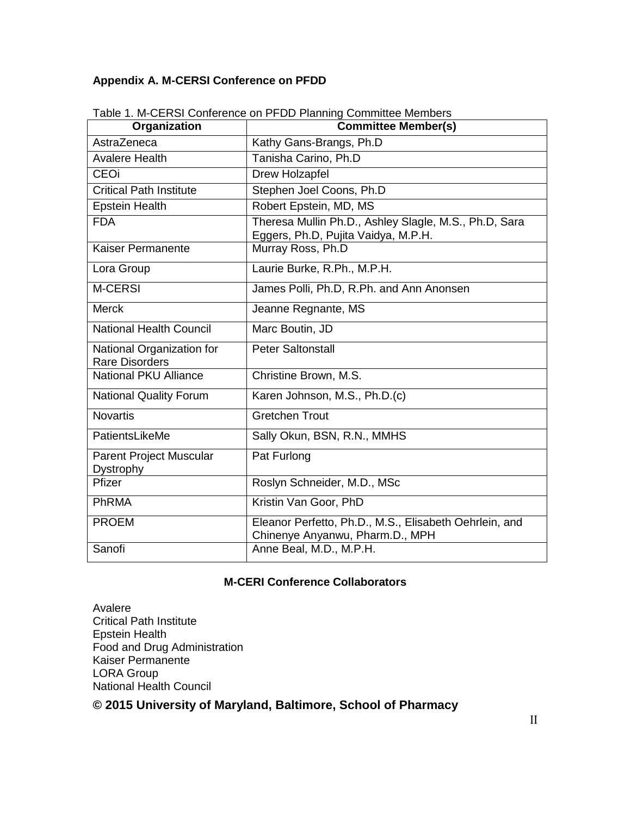## **Appendix A. M-CERSI Conference on PFDD**

| Organization                                       | <b>Committee Member(s)</b>                                                                   |
|----------------------------------------------------|----------------------------------------------------------------------------------------------|
| AstraZeneca                                        | Kathy Gans-Brangs, Ph.D                                                                      |
| <b>Avalere Health</b>                              | Tanisha Carino, Ph.D                                                                         |
| <b>CEOi</b>                                        | Drew Holzapfel                                                                               |
| <b>Critical Path Institute</b>                     | Stephen Joel Coons, Ph.D                                                                     |
| <b>Epstein Health</b>                              | Robert Epstein, MD, MS                                                                       |
| <b>FDA</b>                                         | Theresa Mullin Ph.D., Ashley Slagle, M.S., Ph.D, Sara<br>Eggers, Ph.D, Pujita Vaidya, M.P.H. |
| Kaiser Permanente                                  | Murray Ross, Ph.D                                                                            |
| Lora Group                                         | Laurie Burke, R.Ph., M.P.H.                                                                  |
| <b>M-CERSI</b>                                     | James Polli, Ph.D, R.Ph. and Ann Anonsen                                                     |
| <b>Merck</b>                                       | Jeanne Regnante, MS                                                                          |
| <b>National Health Council</b>                     | Marc Boutin, JD                                                                              |
| National Organization for<br><b>Rare Disorders</b> | <b>Peter Saltonstall</b>                                                                     |
| <b>National PKU Alliance</b>                       | Christine Brown, M.S.                                                                        |
| <b>National Quality Forum</b>                      | Karen Johnson, M.S., Ph.D.(c)                                                                |
| <b>Novartis</b>                                    | <b>Gretchen Trout</b>                                                                        |
| PatientsLikeMe                                     | Sally Okun, BSN, R.N., MMHS                                                                  |
| <b>Parent Project Muscular</b><br>Dystrophy        | Pat Furlong                                                                                  |
| Pfizer                                             | Roslyn Schneider, M.D., MSc                                                                  |
| PhRMA                                              | Kristin Van Goor, PhD                                                                        |
| <b>PROEM</b>                                       | Eleanor Perfetto, Ph.D., M.S., Elisabeth Oehrlein, and<br>Chinenye Anyanwu, Pharm.D., MPH    |
| Sanofi                                             | Anne Beal, M.D., M.P.H.                                                                      |

Table 1. M-CERSI Conference on PFDD Planning Committee Members

#### **M-CERI Conference Collaborators**

Avalere Critical Path Institute Epstein Health Food and Drug Administration Kaiser Permanente LORA Group National Health Council